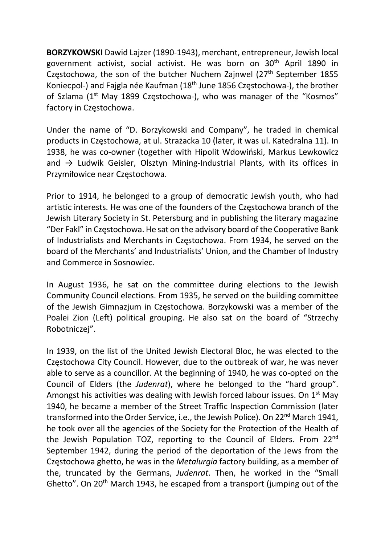BORZYKOWSKI Dawid Lajzer (1890-1943), merchant, entrepreneur, Jewish local government activist, social activist. He was born on 30<sup>th</sup> April 1890 in Czestochowa, the son of the butcher Nuchem Zainwel  $(27<sup>th</sup>$  September 1855 Koniecpol-) and Fajgla née Kaufman (18th June 1856 Częstochowa-), the brother of Szlama (1<sup>st</sup> May 1899 Czestochowa-), who was manager of the "Kosmos" factory in Częstochowa.

Under the name of "D. Borzykowski and Company", he traded in chemical products in Częstochowa, at ul. Strażacka 10 (later, it was ul. Katedralna 11). In 1938, he was co-owner (together with Hipolit Wdowiński, Markus Lewkowicz and  $\rightarrow$  Ludwik Geisler, Olsztyn Mining-Industrial Plants, with its offices in Przymiłowice near Częstochowa.

Prior to 1914, he belonged to a group of democratic Jewish youth, who had artistic interests. He was one of the founders of the Częstochowa branch of the Jewish Literary Society in St. Petersburg and in publishing the literary magazine "Der Fakl" in Częstochowa. He sat on the advisory board of the Cooperative Bank of Industrialists and Merchants in Częstochowa. From 1934, he served on the board of the Merchants' and Industrialists' Union, and the Chamber of Industry and Commerce in Sosnowiec.

In August 1936, he sat on the committee during elections to the Jewish Community Council elections. From 1935, he served on the building committee of the Jewish Gimnazjum in Częstochowa. Borzykowski was a member of the Poalei Zion (Left) political grouping. He also sat on the board of "Strzechy Robotniczej".

In 1939, on the list of the United Jewish Electoral Bloc, he was elected to the Częstochowa City Council. However, due to the outbreak of war, he was never able to serve as a councillor. At the beginning of 1940, he was co-opted on the Council of Elders (the Judenrat), where he belonged to the "hard group". Amongst his activities was dealing with Jewish forced labour issues. On  $1<sup>st</sup>$  May 1940, he became a member of the Street Traffic Inspection Commission (later transformed into the Order Service, i.e., the Jewish Police). On 22<sup>nd</sup> March 1941, he took over all the agencies of the Society for the Protection of the Health of the Jewish Population TOZ, reporting to the Council of Elders. From 22nd September 1942, during the period of the deportation of the Jews from the Częstochowa ghetto, he was in the Metalurgia factory building, as a member of the, truncated by the Germans, Judenrat. Then, he worked in the "Small Ghetto". On 20<sup>th</sup> March 1943, he escaped from a transport (jumping out of the